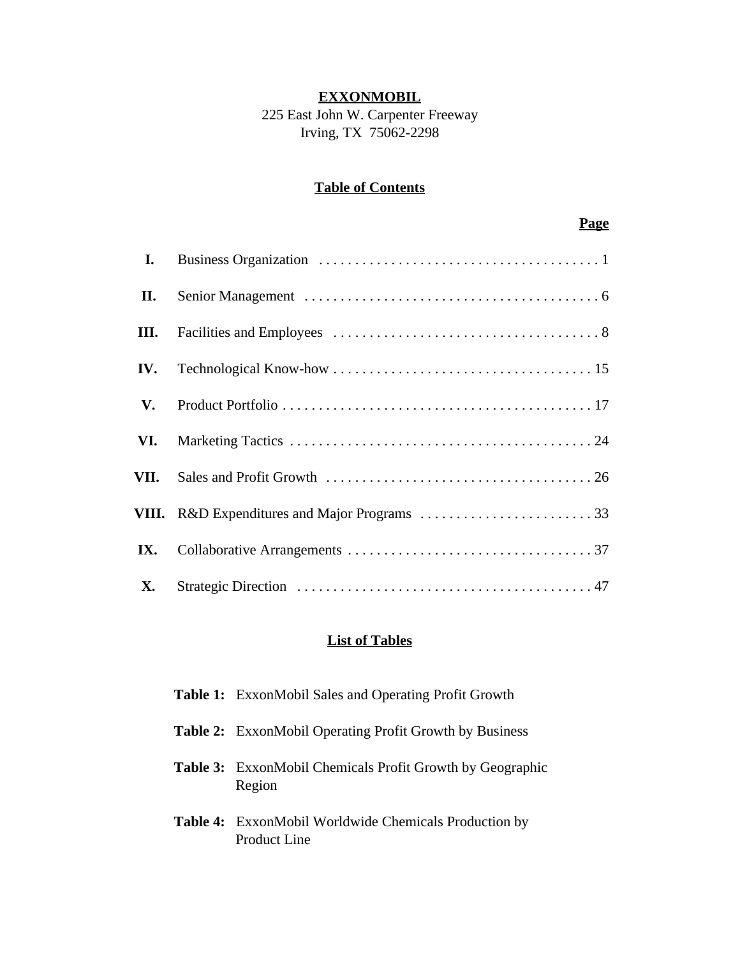## **EXXONMOBIL**

225 East John W. Carpenter Freeway Irving, TX 75062-2298

## **Table of Contents**

## **Page**

| I.   |  |
|------|--|
| П.   |  |
| III. |  |
| IV.  |  |
| V.   |  |
| VI.  |  |
| VII. |  |
|      |  |
| IX.  |  |
| X.   |  |

## **List of Tables**

| <b>Table 1:</b> ExxonMobil Sales and Operating Profit Growth                 |
|------------------------------------------------------------------------------|
| <b>Table 2:</b> ExxonMobil Operating Profit Growth by Business               |
| <b>Table 3:</b> ExxonMobil Chemicals Profit Growth by Geographic<br>Region   |
| <b>Table 4:</b> ExxonMobil Worldwide Chemicals Production by<br>Product Line |